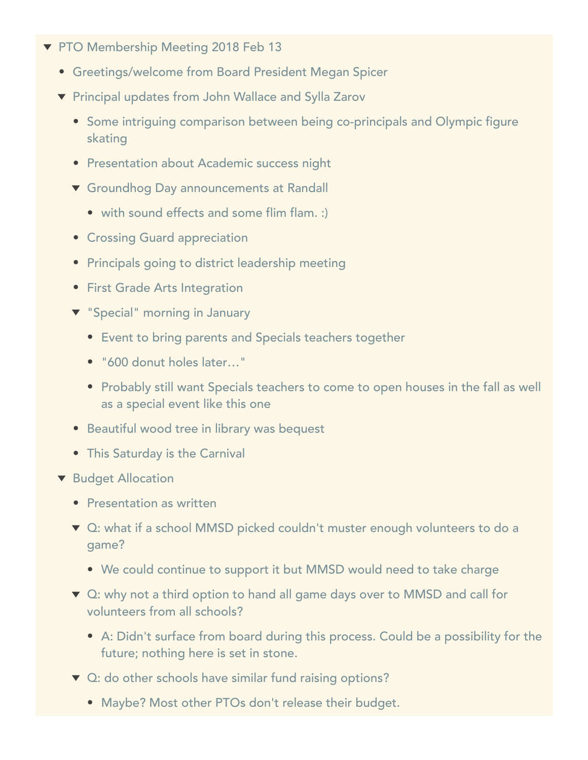- ▼ PTO Membership Meeting 2018 Feb 13
	- Greetings/welcome from Board President Megan Spicer
	- ▼ Principal updates from John Wallace and Sylla Zarov
		- Some intriguing comparison between being co-principals and Olympic figure skating
		- **Presentation about Academic success night**
		- Groundhog Day announcements at Randall
			- with sound effects and some flim flam. :)
		- **Crossing Guard appreciation**
		- Principals going to district leadership meeting
		- **•** First Grade Arts Integration
		- **v** "Special" morning in January
			- Event to bring parents and Specials teachers together
			- "600 donut holes later…"
			- Probably still want Specials teachers to come to open houses in the fall as well as a special event like this one
		- Beautiful wood tree in library was bequest
		- This Saturday is the Carnival
	- **v** Budget Allocation
		- Presentation as written
		- ▼ Q: what if a school MMSD picked couldn't muster enough volunteers to do a game?
			- We could continue to support it but MMSD would need to take charge
		- ▼ Q: why not a third option to hand all game days over to MMSD and call for volunteers from all schools?
			- A: Didn't surface from board during this process. Could be a possibility for the future; nothing here is set in stone.
		- ▼ Q: do other schools have similar fund raising options?
			- Maybe? Most other PTOs don't release their budget.
		-